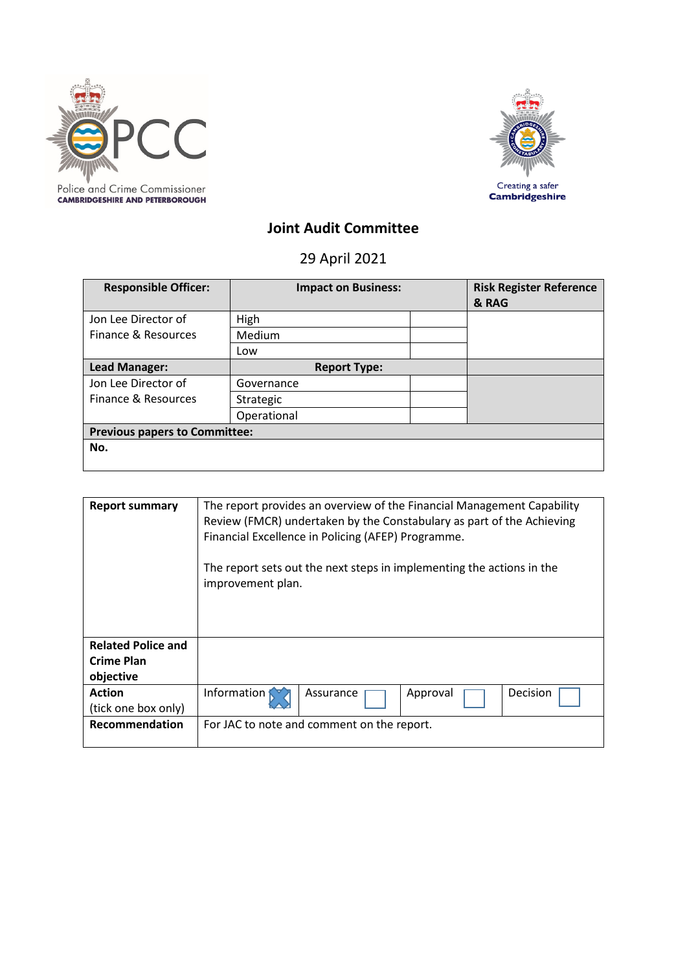



# **Joint Audit Committee**

29 April 2021

| <b>Responsible Officer:</b>          | <b>Impact on Business:</b> |  | <b>Risk Register Reference</b><br>& RAG |  |
|--------------------------------------|----------------------------|--|-----------------------------------------|--|
| Jon Lee Director of                  | High                       |  |                                         |  |
| Finance & Resources                  | Medium                     |  |                                         |  |
|                                      | Low                        |  |                                         |  |
| <b>Lead Manager:</b>                 | <b>Report Type:</b>        |  |                                         |  |
| Jon Lee Director of                  | Governance                 |  |                                         |  |
| Finance & Resources                  | Strategic                  |  |                                         |  |
|                                      | Operational                |  |                                         |  |
| <b>Previous papers to Committee:</b> |                            |  |                                         |  |
| No.                                  |                            |  |                                         |  |

| <b>Report summary</b>                                                 | The report provides an overview of the Financial Management Capability<br>Review (FMCR) undertaken by the Constabulary as part of the Achieving<br>Financial Excellence in Policing (AFEP) Programme.<br>The report sets out the next steps in implementing the actions in the<br>improvement plan. |                                            |          |          |  |
|-----------------------------------------------------------------------|-----------------------------------------------------------------------------------------------------------------------------------------------------------------------------------------------------------------------------------------------------------------------------------------------------|--------------------------------------------|----------|----------|--|
| <b>Related Police and</b><br>Crime Plan<br>objective<br><b>Action</b> | Information                                                                                                                                                                                                                                                                                         | Assurance                                  | Approval | Decision |  |
| (tick one box only)<br><b>Recommendation</b>                          |                                                                                                                                                                                                                                                                                                     | For JAC to note and comment on the report. |          |          |  |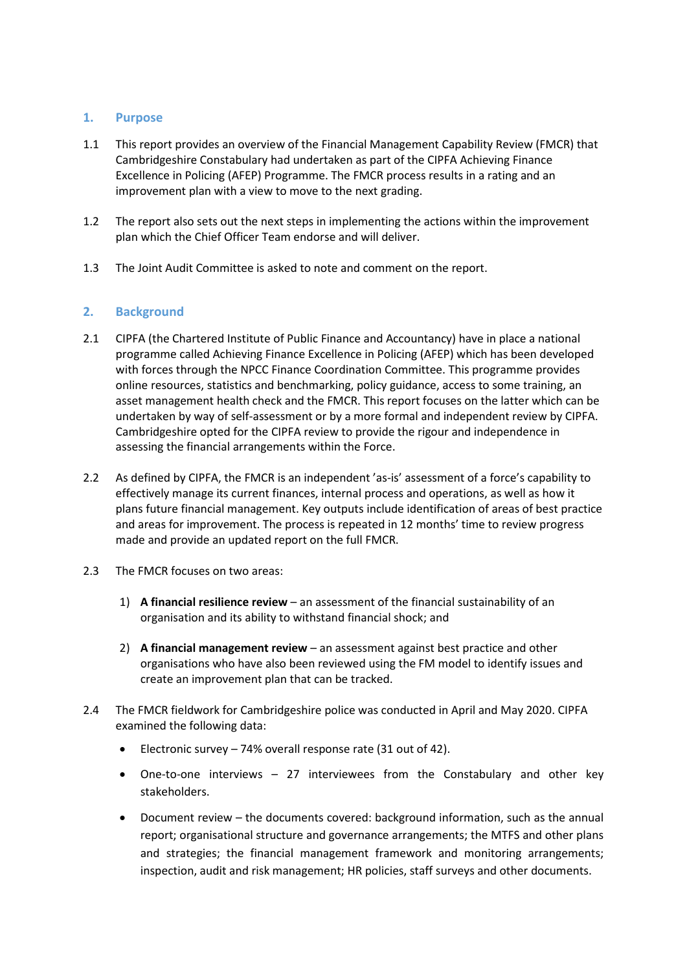# **1. Purpose**

- 1.1 This report provides an overview of the Financial Management Capability Review (FMCR) that Cambridgeshire Constabulary had undertaken as part of the CIPFA Achieving Finance Excellence in Policing (AFEP) Programme. The FMCR process results in a rating and an improvement plan with a view to move to the next grading.
- 1.2 The report also sets out the next steps in implementing the actions within the improvement plan which the Chief Officer Team endorse and will deliver.
- 1.3 The Joint Audit Committee is asked to note and comment on the report.

# **2. Background**

- 2.1 CIPFA (the Chartered Institute of Public Finance and Accountancy) have in place a national programme called Achieving Finance Excellence in Policing (AFEP) which has been developed with forces through the NPCC Finance Coordination Committee. This programme provides online resources, statistics and benchmarking, policy guidance, access to some training, an asset management health check and the FMCR. This report focuses on the latter which can be undertaken by way of self-assessment or by a more formal and independent review by CIPFA. Cambridgeshire opted for the CIPFA review to provide the rigour and independence in assessing the financial arrangements within the Force.
- 2.2 As defined by CIPFA, the FMCR is an independent 'as-is' assessment of a force's capability to effectively manage its current finances, internal process and operations, as well as how it plans future financial management. Key outputs include identification of areas of best practice and areas for improvement. The process is repeated in 12 months' time to review progress made and provide an updated report on the full FMCR.
- 2.3 The FMCR focuses on two areas:
	- 1) **A financial resilience review**  an assessment of the financial sustainability of an organisation and its ability to withstand financial shock; and
	- 2) **A financial management review**  an assessment against best practice and other organisations who have also been reviewed using the FM model to identify issues and create an improvement plan that can be tracked.
- 2.4 The FMCR fieldwork for Cambridgeshire police was conducted in April and May 2020. CIPFA examined the following data:
	- Electronic survey 74% overall response rate (31 out of 42).
	- One-to-one interviews 27 interviewees from the Constabulary and other key stakeholders.
	- Document review the documents covered: background information, such as the annual report; organisational structure and governance arrangements; the MTFS and other plans and strategies; the financial management framework and monitoring arrangements; inspection, audit and risk management; HR policies, staff surveys and other documents.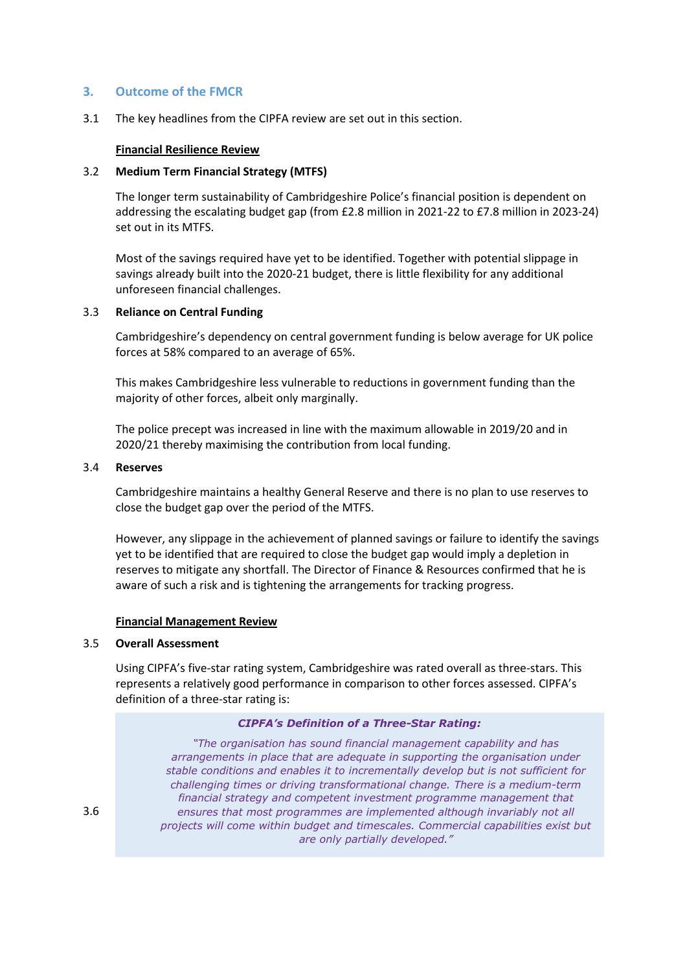### **3. Outcome of the FMCR**

3.1 The key headlines from the CIPFA review are set out in this section.

### **Financial Resilience Review**

#### 3.2 **Medium Term Financial Strategy (MTFS)**

The longer term sustainability of Cambridgeshire Police's financial position is dependent on addressing the escalating budget gap (from £2.8 million in 2021-22 to £7.8 million in 2023-24) set out in its MTFS.

Most of the savings required have yet to be identified. Together with potential slippage in savings already built into the 2020-21 budget, there is little flexibility for any additional unforeseen financial challenges.

#### 3.3 **Reliance on Central Funding**

Cambridgeshire's dependency on central government funding is below average for UK police forces at 58% compared to an average of 65%.

This makes Cambridgeshire less vulnerable to reductions in government funding than the majority of other forces, albeit only marginally.

The police precept was increased in line with the maximum allowable in 2019/20 and in 2020/21 thereby maximising the contribution from local funding.

#### 3.4 **Reserves**

Cambridgeshire maintains a healthy General Reserve and there is no plan to use reserves to close the budget gap over the period of the MTFS.

However, any slippage in the achievement of planned savings or failure to identify the savings yet to be identified that are required to close the budget gap would imply a depletion in reserves to mitigate any shortfall. The Director of Finance & Resources confirmed that he is aware of such a risk and is tightening the arrangements for tracking progress.

### **Financial Management Review**

#### 3.5 **Overall Assessment**

Using CIPFA's five-star rating system, Cambridgeshire was rated overall as three-stars. This represents a relatively good performance in comparison to other forces assessed. CIPFA's definition of a three-star rating is:

#### *CIPFA's Definition of a Three-Star Rating:*

3.6 **A senapsion snappshote consures that most programmes are implemented although invariably not all** projects will come within budget and timescales. Commercial capabilities exist but management styles is set out below. *"The organisation has sound financial management capability and has arrangements in place that are adequate in supporting the organisation under stable conditions and enables it to incrementally develop but is not sufficient for challenging times or driving transformational change. There is a medium-term financial strategy and competent investment programme management that are only partially developed."*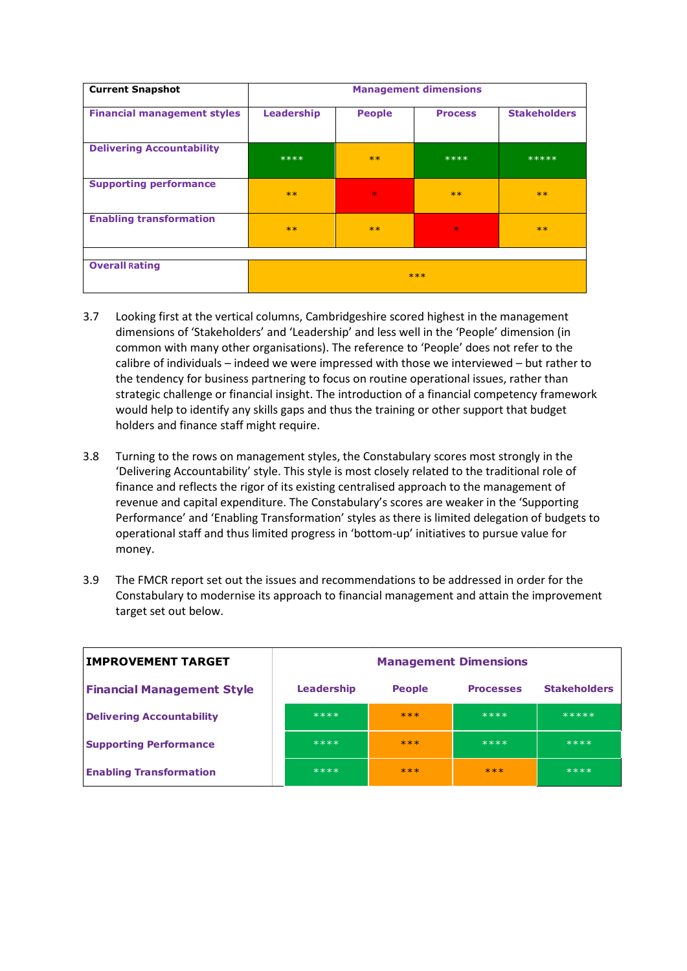| <b>Current Snapshot</b>            | <b>Management dimensions</b> |               |                |                     |
|------------------------------------|------------------------------|---------------|----------------|---------------------|
| <b>Financial management styles</b> | Leadership                   | <b>People</b> | <b>Process</b> | <b>Stakeholders</b> |
| <b>Delivering Accountability</b>   | $****$                       | $***$         | ****           | *****               |
| <b>Supporting performance</b>      | $**$                         | $\ast$        | $***$          | $***$               |
| <b>Enabling transformation</b>     | $**$                         | $***$         | $\star$        | $***$               |
|                                    |                              |               |                |                     |
| <b>Overall Rating</b>              | $***$                        |               |                |                     |

- 3.7 Looking first at the vertical columns, Cambridgeshire scored highest in the management dimensions of 'Stakeholders' and 'Leadership' and less well in the 'People' dimension (in common with many other organisations). The reference to 'People' does not refer to the calibre of individuals – indeed we were impressed with those we interviewed – but rather to the tendency for business partnering to focus on routine operational issues, rather than strategic challenge or financial insight. The introduction of a financial competency framework would help to identify any skills gaps and thus the training or other support that budget holders and finance staff might require.
- 3.8 Turning to the rows on management styles, the Constabulary scores most strongly in the 'Delivering Accountability' style. This style is most closely related to the traditional role of finance and reflects the rigor of its existing centralised approach to the management of revenue and capital expenditure. The Constabulary's scores are weaker in the 'Supporting Performance' and 'Enabling Transformation' styles as there is limited delegation of budgets to operational staff and thus limited progress in 'bottom-up' initiatives to pursue value for money.
- 3.9 The FMCR report set out the issues and recommendations to be addressed in order for the Constabulary to modernise its approach to financial management and attain the improvement target set out below.

| <b>IMPROVEMENT TARGET</b>         | <b>Management Dimensions</b> |               |                  |                     |
|-----------------------------------|------------------------------|---------------|------------------|---------------------|
| <b>Financial Management Style</b> | <b>Leadership</b>            | <b>People</b> | <b>Processes</b> | <b>Stakeholders</b> |
| <b>Delivering Accountability</b>  | $****$                       | $***$         | $****$           | *****               |
| <b>Supporting Performance</b>     | $****$                       | $***$         | $****$           | $****$              |
| <b>Enabling Transformation</b>    | ****                         | $***$         | $***$            | ****                |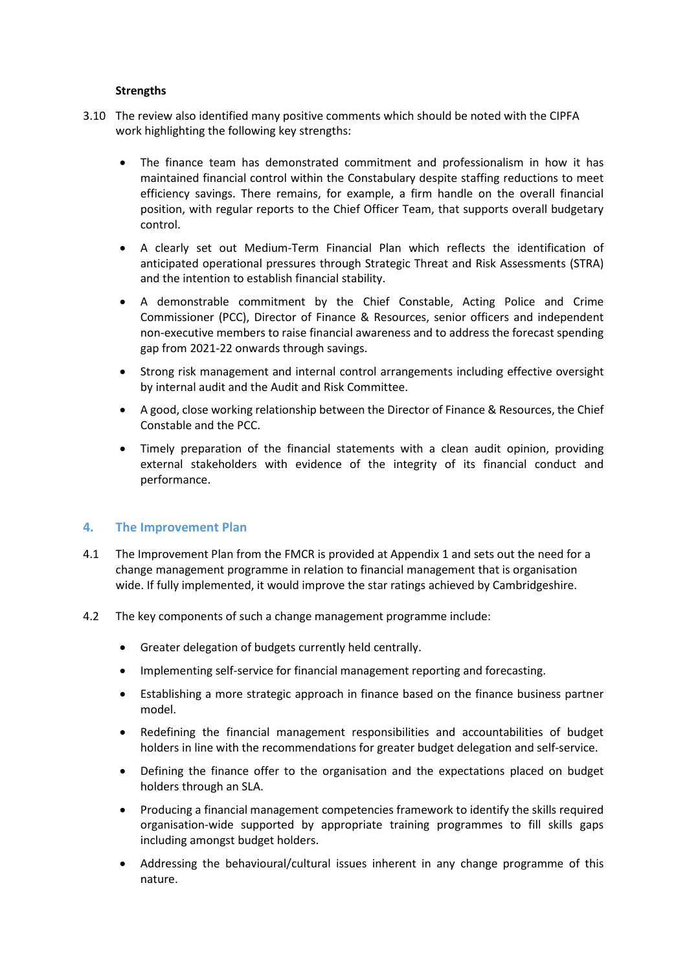### **Strengths**

- 3.10 The review also identified many positive comments which should be noted with the CIPFA work highlighting the following key strengths:
	- The finance team has demonstrated commitment and professionalism in how it has maintained financial control within the Constabulary despite staffing reductions to meet efficiency savings. There remains, for example, a firm handle on the overall financial position, with regular reports to the Chief Officer Team, that supports overall budgetary control.
	- A clearly set out Medium-Term Financial Plan which reflects the identification of anticipated operational pressures through Strategic Threat and Risk Assessments (STRA) and the intention to establish financial stability.
	- A demonstrable commitment by the Chief Constable, Acting Police and Crime Commissioner (PCC), Director of Finance & Resources, senior officers and independent non-executive members to raise financial awareness and to address the forecast spending gap from 2021-22 onwards through savings.
	- Strong risk management and internal control arrangements including effective oversight by internal audit and the Audit and Risk Committee.
	- A good, close working relationship between the Director of Finance & Resources, the Chief Constable and the PCC.
	- Timely preparation of the financial statements with a clean audit opinion, providing external stakeholders with evidence of the integrity of its financial conduct and performance.

### **4. The Improvement Plan**

- 4.1 The Improvement Plan from the FMCR is provided at Appendix 1 and sets out the need for a change management programme in relation to financial management that is organisation wide. If fully implemented, it would improve the star ratings achieved by Cambridgeshire.
- 4.2 The key components of such a change management programme include:
	- Greater delegation of budgets currently held centrally.
	- Implementing self-service for financial management reporting and forecasting.
	- Establishing a more strategic approach in finance based on the finance business partner model.
	- Redefining the financial management responsibilities and accountabilities of budget holders in line with the recommendations for greater budget delegation and self-service.
	- Defining the finance offer to the organisation and the expectations placed on budget holders through an SLA.
	- Producing a financial management competencies framework to identify the skills required organisation-wide supported by appropriate training programmes to fill skills gaps including amongst budget holders.
	- Addressing the behavioural/cultural issues inherent in any change programme of this nature.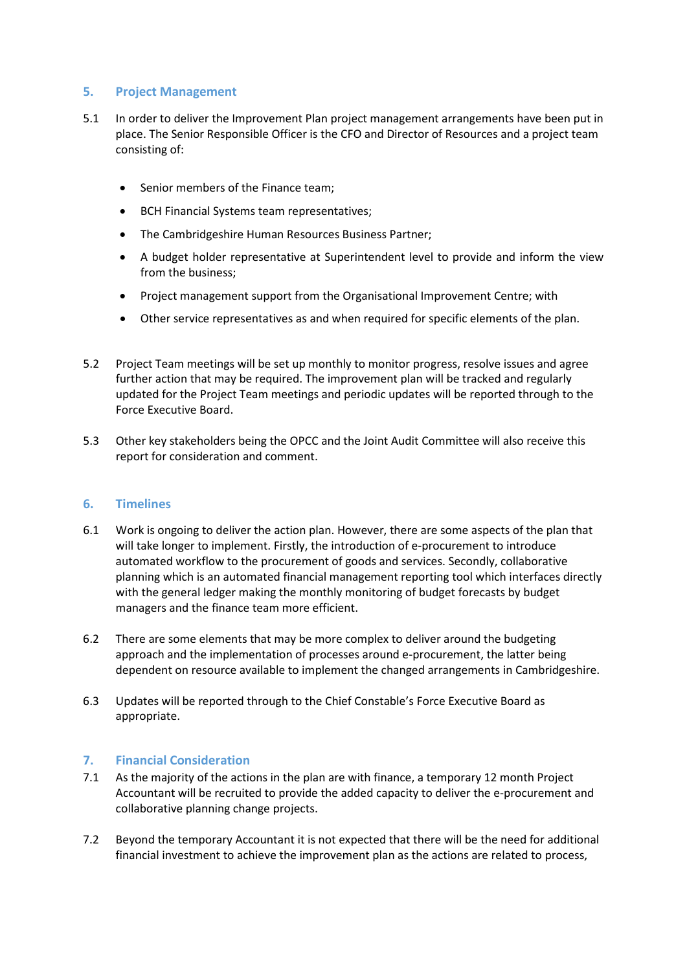# **5. Project Management**

- 5.1 In order to deliver the Improvement Plan project management arrangements have been put in place. The Senior Responsible Officer is the CFO and Director of Resources and a project team consisting of:
	- Senior members of the Finance team;
	- BCH Financial Systems team representatives;
	- The Cambridgeshire Human Resources Business Partner;
	- A budget holder representative at Superintendent level to provide and inform the view from the business;
	- Project management support from the Organisational Improvement Centre; with
	- Other service representatives as and when required for specific elements of the plan.
- 5.2 Project Team meetings will be set up monthly to monitor progress, resolve issues and agree further action that may be required. The improvement plan will be tracked and regularly updated for the Project Team meetings and periodic updates will be reported through to the Force Executive Board.
- 5.3 Other key stakeholders being the OPCC and the Joint Audit Committee will also receive this report for consideration and comment.

### **6. Timelines**

- 6.1 Work is ongoing to deliver the action plan. However, there are some aspects of the plan that will take longer to implement. Firstly, the introduction of e-procurement to introduce automated workflow to the procurement of goods and services. Secondly, collaborative planning which is an automated financial management reporting tool which interfaces directly with the general ledger making the monthly monitoring of budget forecasts by budget managers and the finance team more efficient.
- 6.2 There are some elements that may be more complex to deliver around the budgeting approach and the implementation of processes around e-procurement, the latter being dependent on resource available to implement the changed arrangements in Cambridgeshire.
- 6.3 Updates will be reported through to the Chief Constable's Force Executive Board as appropriate.

# **7. Financial Consideration**

- 7.1 As the majority of the actions in the plan are with finance, a temporary 12 month Project Accountant will be recruited to provide the added capacity to deliver the e-procurement and collaborative planning change projects.
- 7.2 Beyond the temporary Accountant it is not expected that there will be the need for additional financial investment to achieve the improvement plan as the actions are related to process,